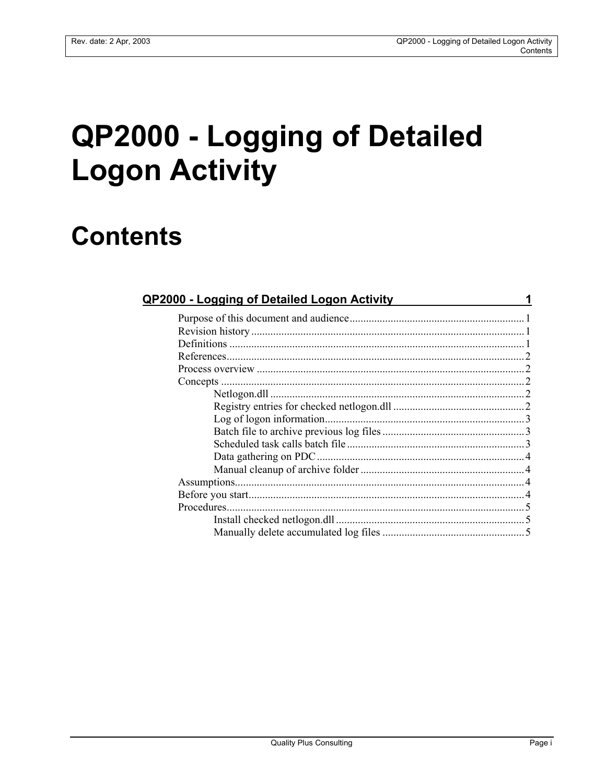# **QP2000 - Logging of Detailed Logon Activity**

## **Contents**

| <b>QP2000 - Logging of Detailed Logon Activity</b> |  |
|----------------------------------------------------|--|
|                                                    |  |
|                                                    |  |
|                                                    |  |
|                                                    |  |
|                                                    |  |
|                                                    |  |
|                                                    |  |
|                                                    |  |
|                                                    |  |
|                                                    |  |
|                                                    |  |
|                                                    |  |
|                                                    |  |
|                                                    |  |
|                                                    |  |
|                                                    |  |
|                                                    |  |
|                                                    |  |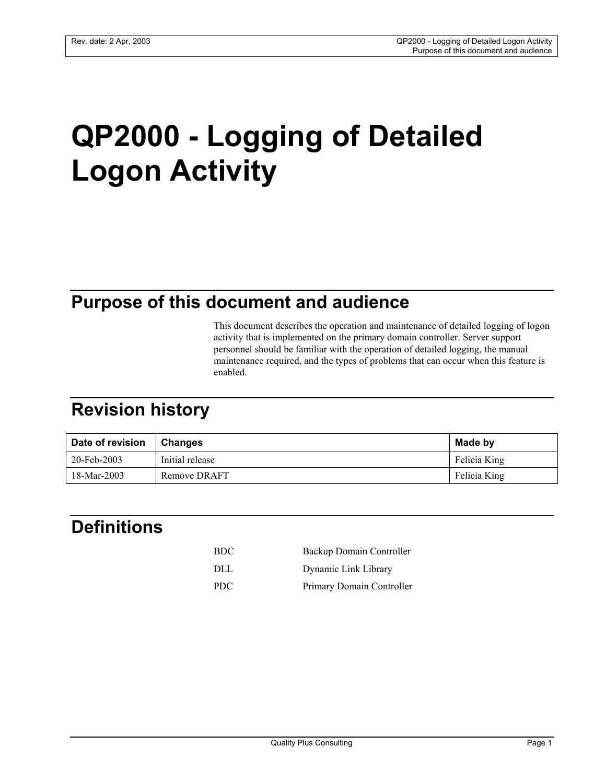# **QP2000 - Logging of Detailed Logon Activity**

## **Purpose of this document and audience**

This document describes the operation and maintenance of detailed logging of logon activity that is implemented on the primary domain controller. Server support personnel should be familiar with the operation of detailed logging, the manual maintenance required, and the types of problems that can occur when this feature is enabled.

## **Revision history**

| Date of revision | <b>Changes</b>  | Made by      |
|------------------|-----------------|--------------|
| 20-Feb-2003      | Initial release | Felicia King |
| 18-Mar-2003      | Remove DRAFT    | Felicia King |

## **Definitions**

| <b>BDC</b> | Backup Domain Controller  |
|------------|---------------------------|
| DLL.       | Dynamic Link Library      |
| <b>PDC</b> | Primary Domain Controller |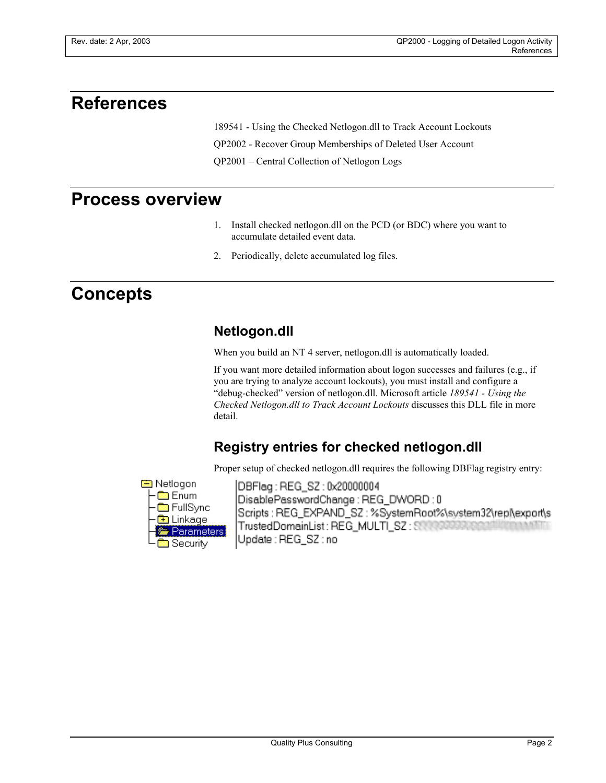### **References**

189541 - Using the Checked Netlogon.dll to Track Account Lockouts

QP2002 - Recover Group Memberships of Deleted User Account

QP2001 – Central Collection of Netlogon Logs

### **Process overview**

- 1. Install checked netlogon.dll on the PCD (or BDC) where you want to accumulate detailed event data.
- 2. Periodically, delete accumulated log files.

## **Concepts**

#### **Netlogon.dll**

When you build an NT 4 server, netlogon.dll is automatically loaded.

If you want more detailed information about logon successes and failures (e.g., if you are trying to analyze account lockouts), you must install and configure a "debug-checked" version of netlogon.dll. Microsoft article *189541 - Using the Checked Netlogon.dll to Track Account Lockouts* discusses this DLL file in more detail.

#### **Registry entries for checked netlogon.dll**

Proper setup of checked netlogon.dll requires the following DBFlag registry entry:



DBFlag: REG\_SZ: 0x20000004 DisablePasswordChange:REG\_DWORD:0 Scripts: REG\_EXPAND\_SZ: %SystemRoot%\system32\repl\export\s TrustedDomainList: REG\_MULTI\_SZ: SSSSSSSSSSS Update: REG\_SZ:no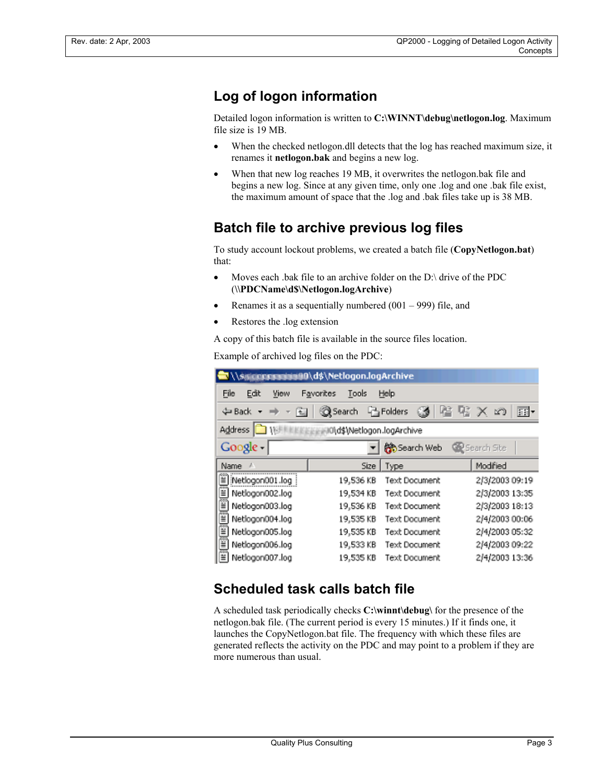#### **Log of logon information**

Detailed logon information is written to C:\WINNT\debug\netlogon.log. Maximum file size is 19 MB.

- When the checked netlogon.dll detects that the log has reached maximum size, it renames it **netlogon.bak** and begins a new log.
- When that new log reaches 19 MB, it overwrites the netlogon.bak file and begins a new log. Since at any given time, only one .log and one .bak file exist, the maximum amount of space that the .log and .bak files take up is 38 MB.

#### **Batch file to archive previous log files**

To study account lockout problems, we created a batch file (**CopyNetlogon.bat**) that:

- Moves each .bak file to an archive folder on the D:\ drive of the PDC (**\\PDCName\d\$\Netlogon.logArchive**)
- Renames it as a sequentially numbered  $(001 999)$  file, and
- Restores the .log extension

A copy of this batch file is available in the source files location.

Example of archived log files on the PDC:

| \\\$@@@@@@@@Q\d\$\Netlogon.logArchive              |           |                      |                         |  |  |  |  |
|----------------------------------------------------|-----------|----------------------|-------------------------|--|--|--|--|
| File<br>Edit<br>Help<br>View<br>Favorites<br>Tools |           |                      |                         |  |  |  |  |
| ⇔ Back →<br>Ŧ.                                     | Search    | Folders              | $\mathsf{X}$<br>用。<br>භ |  |  |  |  |
| <b>Address</b><br>l0\d\$\Netlogon.logArchive       |           |                      |                         |  |  |  |  |
| Google                                             |           | Search Web           | Search Site             |  |  |  |  |
| Name                                               |           | Size   Type          | Modified                |  |  |  |  |
| Ï<br>Netlogon001.log                               | 19,536 KB | <b>Text Document</b> | 2/3/2003 09:19          |  |  |  |  |
| Ë<br>Netlogon002.log                               | 19,534 KB | Text Document        | 2/3/2003 13:35          |  |  |  |  |
| Ĩ<br>Netlogon003.log                               | 19,536 KB | Text Document        | 2/3/2003 18:13          |  |  |  |  |
| Ë<br>Netlogon004.log                               | 19,535 KB | Text Document        | 2/4/2003 00:06          |  |  |  |  |
| E<br>Netlagan005.log                               | 19,535 KB | <b>Text Document</b> | 2/4/2003 05:32          |  |  |  |  |
| Netlagon006.log                                    | 19,533 KB | <b>Text Document</b> | 2/4/2003 09:22          |  |  |  |  |
| ≝<br>Netlogon007.log                               | 19,535 KB | Text Document        | 2/4/2003 13:36          |  |  |  |  |

#### **Scheduled task calls batch file**

A scheduled task periodically checks **C:\winnt\debug\** for the presence of the netlogon.bak file. (The current period is every 15 minutes.) If it finds one, it launches the CopyNetlogon.bat file. The frequency with which these files are generated reflects the activity on the PDC and may point to a problem if they are more numerous than usual.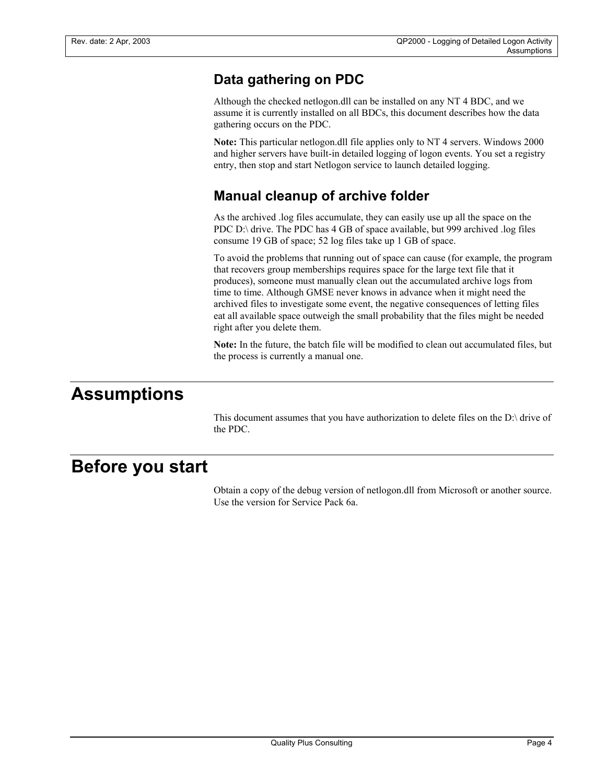#### **Data gathering on PDC**

Although the checked netlogon.dll can be installed on any NT 4 BDC, and we assume it is currently installed on all BDCs, this document describes how the data gathering occurs on the PDC.

**Note:** This particular netlogon.dll file applies only to NT 4 servers. Windows 2000 and higher servers have built-in detailed logging of logon events. You set a registry entry, then stop and start Netlogon service to launch detailed logging.

#### **Manual cleanup of archive folder**

As the archived .log files accumulate, they can easily use up all the space on the PDC D:\ drive. The PDC has 4 GB of space available, but 999 archived .log files consume 19 GB of space; 52 log files take up 1 GB of space.

To avoid the problems that running out of space can cause (for example, the program that recovers group memberships requires space for the large text file that it produces), someone must manually clean out the accumulated archive logs from time to time. Although GMSE never knows in advance when it might need the archived files to investigate some event, the negative consequences of letting files eat all available space outweigh the small probability that the files might be needed right after you delete them.

**Note:** In the future, the batch file will be modified to clean out accumulated files, but the process is currently a manual one.

## **Assumptions**

This document assumes that you have authorization to delete files on the D:\ drive of the PDC.

## **Before you start**

Obtain a copy of the debug version of netlogon.dll from Microsoft or another source. Use the version for Service Pack 6a.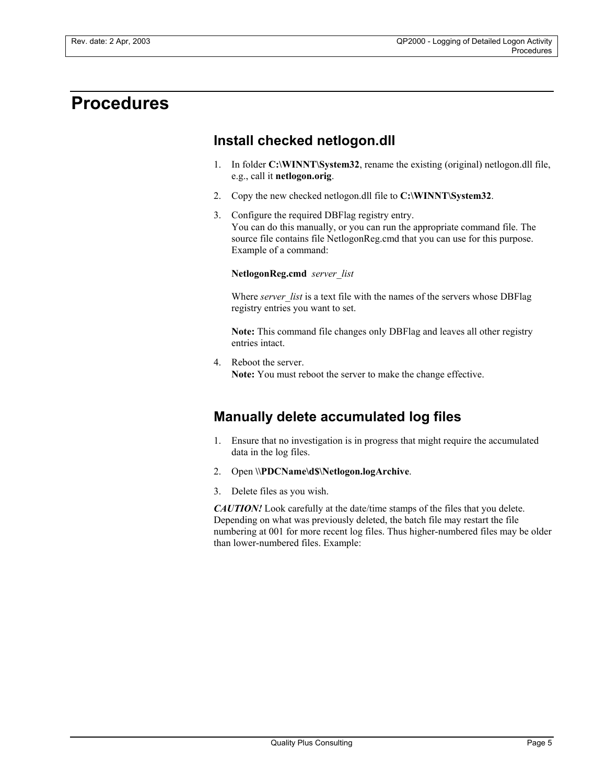## **Procedures**

#### **Install checked netlogon.dll**

- 1. In folder **C:\WINNT\System32**, rename the existing (original) netlogon.dll file, e.g., call it **netlogon.orig**.
- 2. Copy the new checked netlogon.dll file to **C:\WINNT\System32**.
- 3. Configure the required DBFlag registry entry. You can do this manually, or you can run the appropriate command file. The source file contains file NetlogonReg.cmd that you can use for this purpose. Example of a command:

**NetlogonReg.cmd** *server\_list*

Where *server* list is a text file with the names of the servers whose DBFlag registry entries you want to set.

**Note:** This command file changes only DBFlag and leaves all other registry entries intact.

4. Reboot the server. **Note:** You must reboot the server to make the change effective.

#### **Manually delete accumulated log files**

- 1. Ensure that no investigation is in progress that might require the accumulated data in the log files.
- 2. Open **\\PDCName\d\$\Netlogon.logArchive**.
- 3. Delete files as you wish.

*CAUTION!* Look carefully at the date/time stamps of the files that you delete. Depending on what was previously deleted, the batch file may restart the file numbering at 001 for more recent log files. Thus higher-numbered files may be older than lower-numbered files. Example: